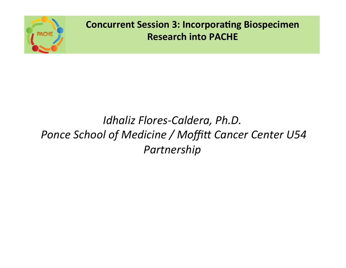

# *Idhaliz Flores-Caldera, Ph.D.* Ponce School of Medicine / Moffitt Cancer Center U54 *Partnership*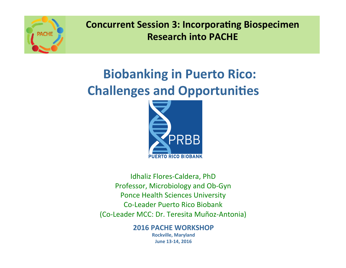

# **Biobanking in Puerto Rico: Challenges and Opportunities**



Idhaliz Flores-Caldera, PhD Professor, Microbiology and Ob-Gyn Ponce Health Sciences University Co-Leader Puerto Rico Biobank (Co-Leader MCC: Dr. Teresita Muñoz-Antonia) 

> **2016 PACHE WORKSHOP Rockville, Maryland June 13-14, 2016**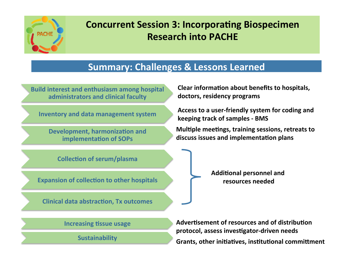

#### **Summary: Challenges & Lessons Learned**

**Build interest and enthusiasm among hospital** administrators and clinical faculty

**Inventory and data management system** 

**Development, harmonization and implementation of SOPs** 

**Clear information about benefits to hospitals,** doctors, residency programs

Access to a user-friendly system for coding and **keeping track of samples - BMS** 

**Multiple meetings, training sessions, retreats to** discuss issues and implementation plans

**Collection of serum/plasma** 

**Expansion of collection to other hospitals** 

**Clinical data abstraction, Tx outcomes** 

**Additional personnel and** resources needed

**Increasing tissue usage** 

**Sustainability**

Advertisement of resources and of distribution protocol, assess investigator-driven needs Grants, other initiatives, institutional committment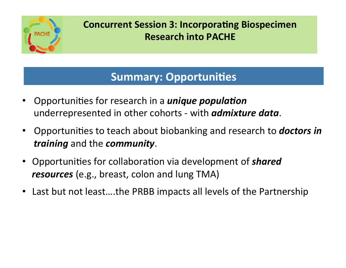

## **Summary: Opportunities**

- Opportunities for research in a *unique population* underrepresented in other cohorts - with *admixture data*.
- Opportunities to teach about biobanking and research to **doctors in** *training* and the *community*.
- Opportunities for collaboration via development of *shared resources* (e.g., breast, colon and lung TMA)
- Last but not least....the PRBB impacts all levels of the Partnership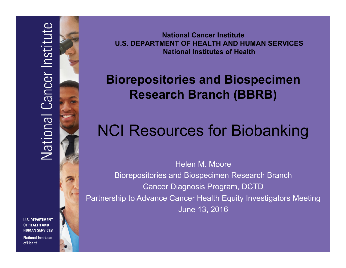**National Cancer Institute U.S. DEPARTMENT OF HEALTH AND HUMAN SERVICES National Institutes of Health** 

# **Biorepositories and Biospecimen Research Branch (BBRB)**

# NCI Resources for Biobanking

Helen M. Moore Biorepositories and Biospecimen Research Branch Cancer Diagnosis Program, DCTD Partnership to Advance Cancer Health Equity Investigators Meeting June 13, 2016

**U.S. DEPARTMENT OF HEALTH AND HUMAN SERVICES** 

**National Institutes** of Health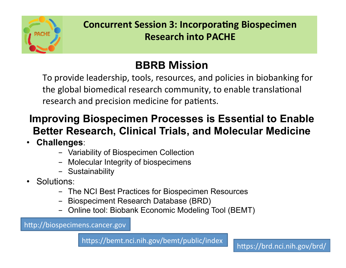

# **BBRB Mission**

To provide leadership, tools, resources, and policies in biobanking for the global biomedical research community, to enable translational research and precision medicine for patients.

# **Improving Biospecimen Processes is Essential to Enable Better Research, Clinical Trials, and Molecular Medicine**

- **Challenges**:
	- Variability of Biospecimen Collection
	- Molecular Integrity of biospecimens
	- Sustainability
- Solutions:
	- The NCI Best Practices for Biospecimen Resources
	- Biospeciment Research Database (BRD)
	- Online tool: Biobank Economic Modeling Tool (BEMT)

http://biospecimens.cancer.gov

https://bemt.nci.nih.gov/bemt/public/index https://brd.nci.nih.gov/brd/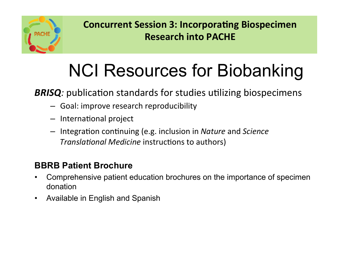

# NCI Resources for Biobanking

**BRISQ**: publication standards for studies utilizing biospecimens

- $-$  Goal: improve research reproducibility
- $-$  International project
- $-$  Integration continuing (e.g. inclusion in *Nature* and *Science Translational Medicine* instructions to authors)

#### **BBRB Patient Brochure**

- Comprehensive patient education brochures on the importance of specimen donation
- Available in English and Spanish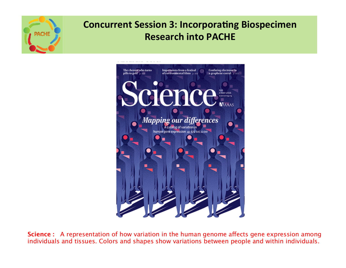



**Science :** A representation of how variation in the human genome affects gene expression among individuals and tissues. Colors and shapes show variations between people and within individuals.